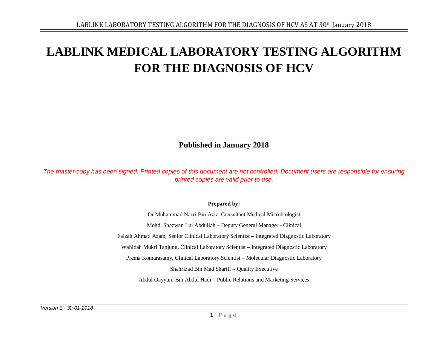# **LABLINK MEDICAL LABORATORY TESTING ALGORITHM FOR THE DIAGNOSIS OF HCV**

**Published in January 2018**

*The master copy has been signed. Printed copies of this document are not controlled. Document users are responsible for ensuring printed copies are valid prior to use.*

#### **Prepared by:**

Dr Muhammad Nazri Bin Aziz, Consultant Medical Microbiologist Mohd. Shazwan Lui Abdullah – Deputy General Manager - Clinical Faizah Ahmad Azam, Senior Clinical Laboratory Scientist – Integrated Diagnostic Laboratory Wahidah Mukri Tanjung, Clinical Laboratory Scientist – Integrated Diagnostic Laboratory Prema Komarasamy, Clinical Laboratory Scientist – Molecular Diagnostic Laboratory Shahrizad Bin Mad Shariff – Quality Executive Abdul Qayyum Bin Abdul Hadi – Public Relations and Marketing Services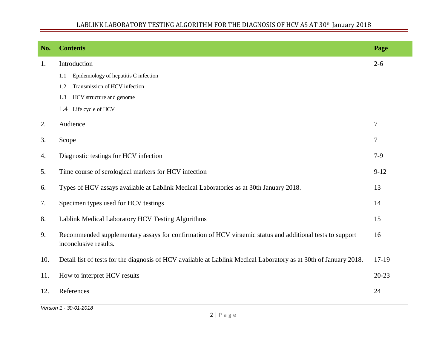# LABLINK LABORATORY TESTING ALGORITHM FOR THE DIAGNOSIS OF HCV AS AT 30th January 2018

| No. | <b>Contents</b>                                                                                                                         | Page             |  |  |  |  |
|-----|-----------------------------------------------------------------------------------------------------------------------------------------|------------------|--|--|--|--|
| 1.  | Introduction                                                                                                                            | $2 - 6$          |  |  |  |  |
|     | Epidemiology of hepatitis C infection<br>1.1                                                                                            |                  |  |  |  |  |
|     | Transmission of HCV infection<br>1.2                                                                                                    |                  |  |  |  |  |
|     | 1.3<br>HCV structure and genome                                                                                                         |                  |  |  |  |  |
|     | 1.4 Life cycle of HCV                                                                                                                   |                  |  |  |  |  |
| 2.  | Audience                                                                                                                                | $\boldsymbol{7}$ |  |  |  |  |
| 3.  | Scope                                                                                                                                   | 7                |  |  |  |  |
| 4.  | Diagnostic testings for HCV infection                                                                                                   | $7-9$            |  |  |  |  |
| 5.  | Time course of serological markers for HCV infection<br>$9 - 12$                                                                        |                  |  |  |  |  |
| 6.  | Types of HCV assays available at Lablink Medical Laboratories as at 30th January 2018.<br>13                                            |                  |  |  |  |  |
| 7.  | Specimen types used for HCV testings<br>14                                                                                              |                  |  |  |  |  |
| 8.  | Lablink Medical Laboratory HCV Testing Algorithms<br>15                                                                                 |                  |  |  |  |  |
| 9.  | Recommended supplementary assays for confirmation of HCV viraemic status and additional tests to support<br>16<br>inconclusive results. |                  |  |  |  |  |
| 10. | Detail list of tests for the diagnosis of HCV available at Lablink Medical Laboratory as at 30th of January 2018.<br>$17-19$            |                  |  |  |  |  |
| 11. | How to interpret HCV results                                                                                                            |                  |  |  |  |  |
| 12. | References                                                                                                                              | 24               |  |  |  |  |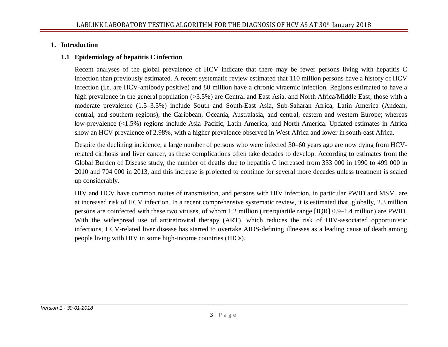#### **1. Introduction**

## **1.1 Epidemiology of hepatitis C infection**

Recent analyses of the global prevalence of HCV indicate that there may be fewer persons living with hepatitis C infection than previously estimated. A recent systematic review estimated that 110 million persons have a history of HCV infection (i.e. are HCV-antibody positive) and 80 million have a chronic viraemic infection. Regions estimated to have a high prevalence in the general population (>3.5%) are Central and East Asia, and North Africa/Middle East; those with a moderate prevalence (1.5–3.5%) include South and South-East Asia, Sub-Saharan Africa, Latin America (Andean, central, and southern regions), the Caribbean, Oceania, Australasia, and central, eastern and western Europe; whereas low-prevalence (<1.5%) regions include Asia–Pacific, Latin America, and North America. Updated estimates in Africa show an HCV prevalence of 2.98%, with a higher prevalence observed in West Africa and lower in south-east Africa.

Despite the declining incidence, a large number of persons who were infected 30–60 years ago are now dying from HCVrelated cirrhosis and liver cancer, as these complications often take decades to develop. According to estimates from the Global Burden of Disease study, the number of deaths due to hepatitis C increased from 333 000 in 1990 to 499 000 in 2010 and 704 000 in 2013, and this increase is projected to continue for several more decades unless treatment is scaled up considerably.

HIV and HCV have common routes of transmission, and persons with HIV infection, in particular PWID and MSM, are at increased risk of HCV infection. In a recent comprehensive systematic review, it is estimated that, globally, 2.3 million persons are coinfected with these two viruses, of whom 1.2 million (interquartile range [IQR] 0.9–1.4 million) are PWID. With the widespread use of antiretroviral therapy (ART), which reduces the risk of HIV-associated opportunistic infections, HCV-related liver disease has started to overtake AIDS-defining illnesses as a leading cause of death among people living with HIV in some high-income countries (HICs).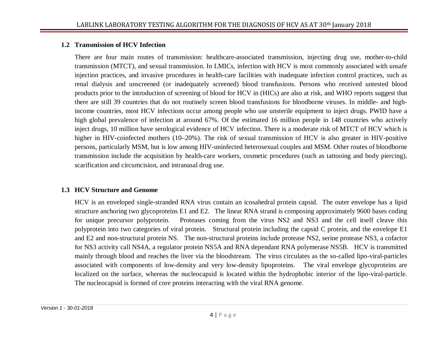#### **1.2 Transmission of HCV Infection**

There are four main routes of transmission: healthcare-associated transmission, injecting drug use, mother-to-child transmission (MTCT), and sexual transmission. In LMICs, infection with HCV is most commonly associated with unsafe injection practices, and invasive procedures in health-care facilities with inadequate infection control practices, such as renal dialysis and unscreened (or inadequately screened) blood transfusions. Persons who received untested blood products prior to the introduction of screening of blood for HCV in (HICs) are also at risk, and WHO reports suggest that there are still 39 countries that do not routinely screen blood transfusions for bloodborne viruses. In middle- and highincome countries, most HCV infections occur among people who use unsterile equipment to inject drugs. PWID have a high global prevalence of infection at around 67%. Of the estimated 16 million people in 148 countries who actively inject drugs, 10 million have serological evidence of HCV infection. There is a moderate risk of MTCT of HCV which is higher in HIV-coinfected mothers (10–20%). The risk of sexual transmission of HCV is also greater in HIV-positive persons, particularly MSM, but is low among HIV-uninfected heterosexual couples and MSM. Other routes of bloodborne transmission include the acquisition by health-care workers, cosmetic procedures (such as tattooing and body piercing), scarification and circumcision, and intranasal drug use.

## **1.3 HCV Structure and Genome**

HCV is an enveloped single-stranded RNA virus contain an icosahedral protein capsid. The outer envelope has a lipid structure anchoring two glycoproteins E1 and E2. The linear RNA strand is composing approximately 9600 bases coding for unique precursor polyprotein. Proteases coming from the virus NS2 and NS3 and the cell itself cleave this polyprotein into two categories of viral protein. Structural protein including the capsid C protein, and the envelope E1 and E2 and non-structural protein NS. The non-structural proteins include protease NS2, serine protease NS3, a cofactor for NS3 activity call NS4A, a regulator protein NS5A and RNA dependant RNA polymerase NS5B. HCV is transmitted mainly through blood and reaches the liver via the bloodstream. The virus circulates as the so-called lipo-viral-particles associated with components of low-density and very low-density lipoproteins. The viral envelope glycoproteins are localized on the surface, whereas the nucleocapsid is located within the hydrophobic interior of the lipo-viral-particle. The nucleocapsid is formed of core proteins interacting with the viral RNA genome.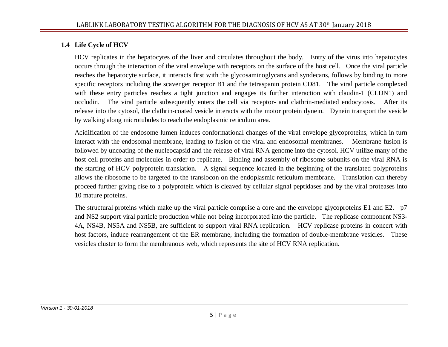## **1.4 Life Cycle of HCV**

HCV replicates in the hepatocytes of the liver and circulates throughout the body. Entry of the virus into hepatocytes occurs through the interaction of the viral envelope with receptors on the surface of the host cell. Once the viral particle reaches the hepatocyte surface, it interacts first with the glycosaminoglycans and syndecans, follows by binding to more specific receptors including the scavenger receptor B1 and the tetraspanin protein CD81. The viral particle complexed with these entry particles reaches a tight junction and engages its further interaction with claudin-1 (CLDN1) and occludin. The viral particle subsequently enters the cell via receptor- and clathrin-mediated endocytosis. After its release into the cytosol, the clathrin-coated vesicle interacts with the motor protein dynein. Dynein transport the vesicle by walking along microtubules to reach the endoplasmic reticulum area.

Acidification of the endosome lumen induces conformational changes of the viral envelope glycoproteins, which in turn interact with the endosomal membrane, leading to fusion of the viral and endosomal membranes. Membrane fusion is followed by uncoating of the nucleocapsid and the release of viral RNA genome into the cytosol. HCV utilize many of the host cell proteins and molecules in order to replicate. Binding and assembly of ribosome subunits on the viral RNA is the starting of HCV polyprotein translation. A signal sequence located in the beginning of the translated polyproteins allows the ribosome to be targeted to the translocon on the endoplasmic reticulum membrane. Translation can thereby proceed further giving rise to a polyprotein which is cleaved by cellular signal peptidases and by the viral proteases into 10 mature proteins.

The structural proteins which make up the viral particle comprise a core and the envelope glycoproteins E1 and E2. p7 and NS2 support viral particle production while not being incorporated into the particle. The replicase component NS3- 4A, NS4B, NS5A and NS5B, are sufficient to support viral RNA replication. HCV replicase proteins in concert with host factors, induce rearrangement of the ER membrane, including the formation of double-membrane vesicles. These vesicles cluster to form the membranous web, which represents the site of HCV RNA replication.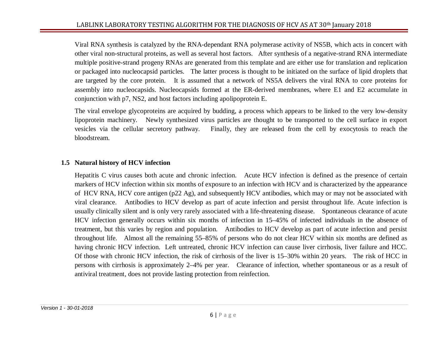Viral RNA synthesis is catalyzed by the RNA-dependant RNA polymerase activity of NS5B, which acts in concert with other viral non-structural proteins, as well as several host factors. After synthesis of a negative-strand RNA intermediate multiple positive-strand progeny RNAs are generated from this template and are either use for translation and replication or packaged into nucleocapsid particles. The latter process is thought to be initiated on the surface of lipid droplets that are targeted by the core protein. It is assumed that a network of NS5A delivers the viral RNA to core proteins for assembly into nucleocapsids. Nucleocapsids formed at the ER-derived membranes, where E1 and E2 accumulate in conjunction with p7, NS2, and host factors including apolipoprotein E.

The viral envelope glycoproteins are acquired by budding, a process which appears to be linked to the very low-density lipoprotein machinery. Newly synthesized virus particles are thought to be transported to the cell surface in export vesicles via the cellular secretory pathway. Finally, they are released from the cell by exocytosis to reach the bloodstream.

#### **1.5 Natural history of HCV infection**

Hepatitis C virus causes both acute and chronic infection. Acute HCV infection is defined as the presence of certain markers of HCV infection within six months of exposure to an infection with HCV and is characterized by the appearance of HCV RNA, HCV core antigen (p22 Ag), and subsequently HCV antibodies, which may or may not be associated with viral clearance. Antibodies to HCV develop as part of acute infection and persist throughout life. Acute infection is usually clinically silent and is only very rarely associated with a life-threatening disease. Spontaneous clearance of acute HCV infection generally occurs within six months of infection in 15–45% of infected individuals in the absence of treatment, but this varies by region and population. Antibodies to HCV develop as part of acute infection and persist throughout life. Almost all the remaining 55–85% of persons who do not clear HCV within six months are defined as having chronic HCV infection. Left untreated, chronic HCV infection can cause liver cirrhosis, liver failure and HCC. Of those with chronic HCV infection, the risk of cirrhosis of the liver is 15–30% within 20 years. The risk of HCC in persons with cirrhosis is approximately 2–4% per year. Clearance of infection, whether spontaneous or as a result of antiviral treatment, does not provide lasting protection from reinfection.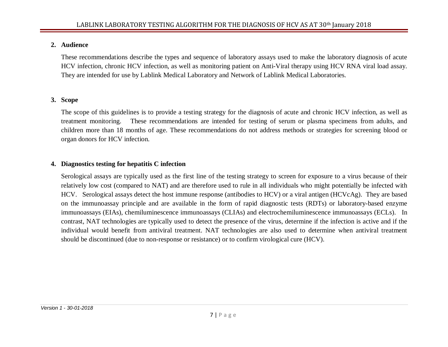#### **2. Audience**

These recommendations describe the types and sequence of laboratory assays used to make the laboratory diagnosis of acute HCV infection, chronic HCV infection, as well as monitoring patient on Anti-Viral therapy using HCV RNA viral load assay. They are intended for use by Lablink Medical Laboratory and Network of Lablink Medical Laboratories.

# **3. Scope**

The scope of this guidelines is to provide a testing strategy for the diagnosis of acute and chronic HCV infection, as well as treatment monitoring. These recommendations are intended for testing of serum or plasma specimens from adults, and children more than 18 months of age. These recommendations do not address methods or strategies for screening blood or organ donors for HCV infection.

# **4. Diagnostics testing for hepatitis C infection**

Serological assays are typically used as the first line of the testing strategy to screen for exposure to a virus because of their relatively low cost (compared to NAT) and are therefore used to rule in all individuals who might potentially be infected with HCV. Serological assays detect the host immune response (antibodies to HCV) or a viral antigen (HCVcAg). They are based on the immunoassay principle and are available in the form of rapid diagnostic tests (RDTs) or laboratory-based enzyme immunoassays (EIAs), chemiluminescence immunoassays (CLIAs) and electrochemiluminescence immunoassays (ECLs). In contrast, NAT technologies are typically used to detect the presence of the virus, determine if the infection is active and if the individual would benefit from antiviral treatment. NAT technologies are also used to determine when antiviral treatment should be discontinued (due to non-response or resistance) or to confirm virological cure (HCV).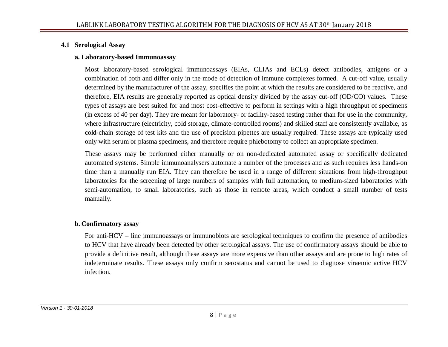#### **4.1 Serological Assay**

#### **a. Laboratory-based Immunoassay**

Most laboratory-based serological immunoassays (EIAs, CLIAs and ECLs) detect antibodies, antigens or a combination of both and differ only in the mode of detection of immune complexes formed. A cut-off value, usually determined by the manufacturer of the assay, specifies the point at which the results are considered to be reactive, and therefore, EIA results are generally reported as optical density divided by the assay cut-off (OD/CO) values. These types of assays are best suited for and most cost-effective to perform in settings with a high throughput of specimens (in excess of 40 per day). They are meant for laboratory- or facility-based testing rather than for use in the community, where infrastructure (electricity, cold storage, climate-controlled rooms) and skilled staff are consistently available, as cold-chain storage of test kits and the use of precision pipettes are usually required. These assays are typically used only with serum or plasma specimens, and therefore require phlebotomy to collect an appropriate specimen.

These assays may be performed either manually or on non-dedicated automated assay or specifically dedicated automated systems. Simple immunoanalysers automate a number of the processes and as such requires less hands-on time than a manually run EIA. They can therefore be used in a range of different situations from high-throughput laboratories for the screening of large numbers of samples with full automation, to medium-sized laboratories with semi-automation, to small laboratories, such as those in remote areas, which conduct a small number of tests manually.

#### **b. Confirmatory assay**

For anti-HCV – line immunoassays or immunoblots are serological techniques to confirm the presence of antibodies to HCV that have already been detected by other serological assays. The use of confirmatory assays should be able to provide a definitive result, although these assays are more expensive than other assays and are prone to high rates of indeterminate results. These assays only confirm serostatus and cannot be used to diagnose viraemic active HCV infection.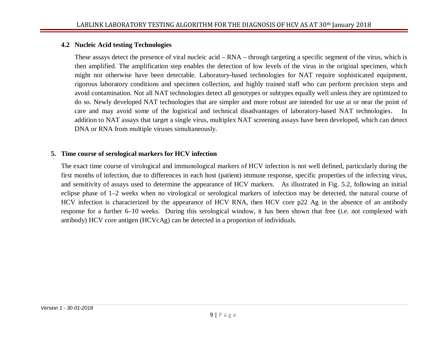### **4.2 Nucleic Acid testing Technologies**

These assays detect the presence of viral nucleic acid – RNA – through targeting a specific segment of the virus, which is then amplified. The amplification step enables the detection of low levels of the virus in the original specimen, which might not otherwise have been detectable. Laboratory-based technologies for NAT require sophisticated equipment, rigorous laboratory conditions and specimen collection, and highly trained staff who can perform precision steps and avoid contamination. Not all NAT technologies detect all genotypes or subtypes equally well unless they are optimized to do so. Newly developed NAT technologies that are simpler and more robust are intended for use at or near the point of care and may avoid some of the logistical and technical disadvantages of laboratory-based NAT technologies. In addition to NAT assays that target a single virus, multiplex NAT screening assays have been developed, which can detect DNA or RNA from multiple viruses simultaneously.

#### **5. Time course of serological markers for HCV infection**

The exact time course of virological and immunological markers of HCV infection is not well defined, particularly during the first months of infection, due to differences in each host (patient) immune response, specific properties of the infecting virus, and sensitivity of assays used to determine the appearance of HCV markers. As illustrated in Fig. 5.2, following an initial eclipse phase of 1–2 weeks when no virological or serological markers of infection may be detected, the natural course of HCV infection is characterized by the appearance of HCV RNA, then HCV core p22 Ag in the absence of an antibody response for a further 6–10 weeks. During this serological window, it has been shown that free (i.e. not complexed with antibody) HCV core antigen (HCVcAg) can be detected in a proportion of individuals.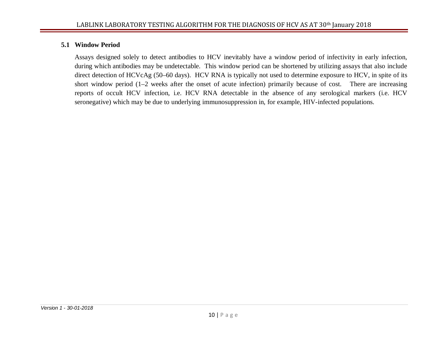#### **5.1 Window Period**

Assays designed solely to detect antibodies to HCV inevitably have a window period of infectivity in early infection, during which antibodies may be undetectable. This window period can be shortened by utilizing assays that also include direct detection of HCVcAg (50–60 days). HCV RNA is typically not used to determine exposure to HCV, in spite of its short window period (1–2 weeks after the onset of acute infection) primarily because of cost. There are increasing reports of occult HCV infection, i.e. HCV RNA detectable in the absence of any serological markers (i.e. HCV seronegative) which may be due to underlying immunosuppression in, for example, HIV-infected populations.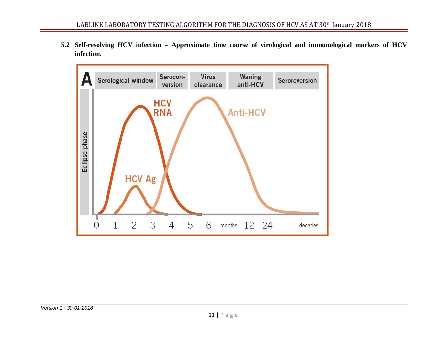**5.2 Self-resolving HCV infection – Approximate time course of virological and immunological markers of HCV infection.**

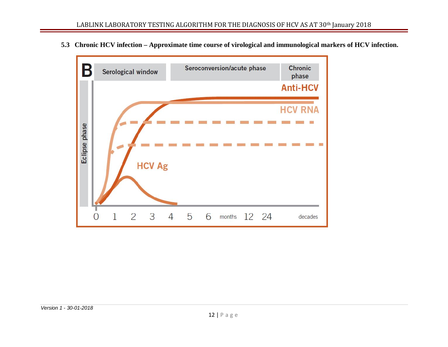**5.3 Chronic HCV infection – Approximate time course of virological and immunological markers of HCV infection.**

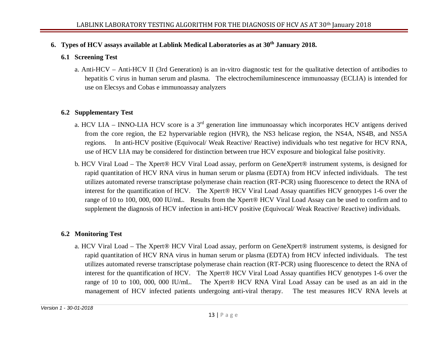## **6. Types of HCV assays available at Lablink Medical Laboratories as at 30th January 2018.**

#### **6.1 Screening Test**

a. Anti-HCV – Anti-HCV II (3rd Generation) is an in-vitro diagnostic test for the qualitative detection of antibodies to hepatitis C virus in human serum and plasma. The electrochemiluminescence immunoassay (ECLIA) is intended for use on Elecsys and Cobas e immunoassay analyzers

#### **6.2 Supplementary Test**

- a. HCV LIA INNO-LIA HCV score is a 3<sup>rd</sup> generation line immunoassay which incorporates HCV antigens derived from the core region, the E2 hypervariable region (HVR), the NS3 helicase region, the NS4A, NS4B, and NS5A regions. In anti-HCV positive (Equivocal/ Weak Reactive/ Reactive) individuals who test negative for HCV RNA, use of HCV LIA may be considered for distinction between true HCV exposure and biological false positivity.
- b. HCV Viral Load The Xpert® HCV Viral Load assay, perform on GeneXpert® instrument systems, is designed for rapid quantitation of HCV RNA virus in human serum or plasma (EDTA) from HCV infected individuals. The test utilizes automated reverse transcriptase polymerase chain reaction (RT-PCR) using fluorescence to detect the RNA of interest for the quantification of HCV. The Xpert® HCV Viral Load Assay quantifies HCV genotypes 1-6 over the range of 10 to 100, 000, 000 IU/mL. Results from the Xpert® HCV Viral Load Assay can be used to confirm and to supplement the diagnosis of HCV infection in anti-HCV positive (Equivocal/ Weak Reactive/ Reactive) individuals.

## **6.2 Monitoring Test**

a. HCV Viral Load – The Xpert® HCV Viral Load assay, perform on GeneXpert® instrument systems, is designed for rapid quantitation of HCV RNA virus in human serum or plasma (EDTA) from HCV infected individuals. The test utilizes automated reverse transcriptase polymerase chain reaction (RT-PCR) using fluorescence to detect the RNA of interest for the quantification of HCV. The Xpert® HCV Viral Load Assay quantifies HCV genotypes 1-6 over the range of 10 to 100, 000, 000 IU/mL. The Xpert® HCV RNA Viral Load Assay can be used as an aid in the management of HCV infected patients undergoing anti-viral therapy. The test measures HCV RNA levels at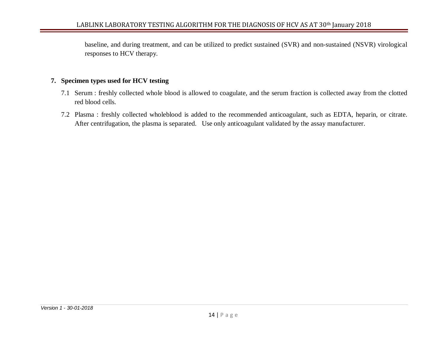baseline, and during treatment, and can be utilized to predict sustained (SVR) and non-sustained (NSVR) virological responses to HCV therapy.

#### **7. Specimen types used for HCV testing**

- 7.1 Serum : freshly collected whole blood is allowed to coagulate, and the serum fraction is collected away from the clotted red blood cells.
- 7.2 Plasma : freshly collected wholeblood is added to the recommended anticoagulant, such as EDTA, heparin, or citrate. After centrifugation, the plasma is separated. Use only anticoagulant validated by the assay manufacturer.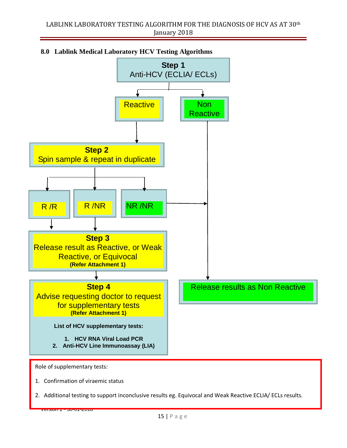

## **8.0 Lablink Medical Laboratory HCV Testing Algorithms**

*Version 1 - 30-01-2018*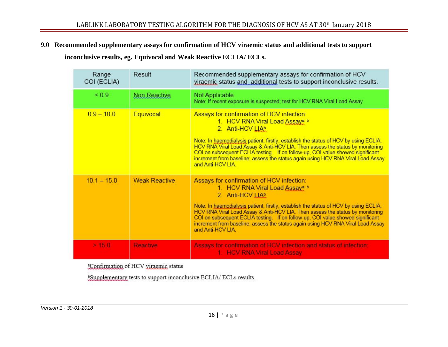#### **9.0 Recommended supplementary assays for confirmation of HCV viraemic status and additional tests to support**

 **inconclusive results, eg. Equivocal and Weak Reactive ECLIA/ ECLs.**

| Range<br>COI (ECLIA) | Result               | Recommended supplementary assays for confirmation of HCV<br>viraemic status and additional tests to support inconclusive results.                                                                                                                                                                                                                                                                                                                                              |
|----------------------|----------------------|--------------------------------------------------------------------------------------------------------------------------------------------------------------------------------------------------------------------------------------------------------------------------------------------------------------------------------------------------------------------------------------------------------------------------------------------------------------------------------|
| ${}_{0.9}$           | <b>Non Reactive</b>  | Not Applicable.<br>Note: If recent exposure is suspected; test for HCV RNA Viral Load Assay                                                                                                                                                                                                                                                                                                                                                                                    |
| $0.9 - 10.0$         | Equivocal            | Assays for confirmation of HCV infection:<br>1. HCV RNA Viral Load Assay <sup>a, b</sup><br>2. Anti-HCV LIAb<br>Note: In haemodialysis patient, firstly, establish the status of HCV by using ECLIA,<br>HCV RNA Viral Load Assay & Anti-HCV LIA. Then assess the status by monitoring<br>COI on subsequent ECLIA testing. If on follow-up, COI value showed significant<br>increment from baseline; assess the status again using HCV RNA Viral Load Assay<br>and Anti-HCV LIA |
| $10.1 - 15.0$        | <b>Weak Reactive</b> | Assays for confirmation of HCV infection:<br>1. HCV RNA Viral Load Assay <sup>a, b</sup><br>2. Anti-HCV LIAb<br>Note: In haemodialysis patient, firstly, establish the status of HCV by using ECLIA,<br>HCV RNA Viral Load Assay & Anti-HCV LIA. Then assess the status by monitoring<br>COI on subsequent ECLIA testing. If on follow-up, COI value showed significant<br>increment from baseline; assess the status again using HCV RNA Viral Load Assay<br>and Anti-HCV LIA |
| > 15.0               | <b>Reactive</b>      | Assays for confirmation of HCV infection and status of infection:<br>1. HCV RNA Viral Load Assay                                                                                                                                                                                                                                                                                                                                                                               |

<sup>a</sup>Confirmation of HCV viraemic status

<sup>b</sup>Supplementary tests to support inconclusive ECLIA/ECLs results.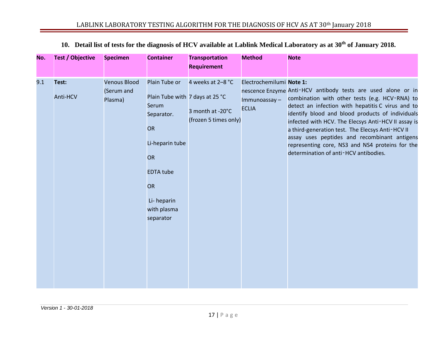| No. | <b>Test / Objective</b> | <b>Specimen</b>                              | <b>Container</b>                                                                                                                                                                  | <b>Transportation</b><br><b>Requirement</b>                    | <b>Method</b>                                            | <b>Note</b>                                                                                                                                                                                                                                                                                                                                                                                                                                                                    |
|-----|-------------------------|----------------------------------------------|-----------------------------------------------------------------------------------------------------------------------------------------------------------------------------------|----------------------------------------------------------------|----------------------------------------------------------|--------------------------------------------------------------------------------------------------------------------------------------------------------------------------------------------------------------------------------------------------------------------------------------------------------------------------------------------------------------------------------------------------------------------------------------------------------------------------------|
| 9.1 | Test:<br>Anti-HCV       | <b>Venous Blood</b><br>(Serum and<br>Plasma) | Plain Tube or<br>Plain Tube with 7 days at 25 °C<br>Serum<br>Separator.<br>OR<br>Li-heparin tube<br><b>OR</b><br><b>EDTA tube</b><br>OR<br>Li-heparin<br>with plasma<br>separator | 4 weeks at 2-8 °C<br>3 month at -20°C<br>(frozen 5 times only) | Electrochemilumi Note 1:<br>Immunoassay-<br><b>ECLIA</b> | nescence Enzyme Anti-HCV antibody tests are used alone or in<br>combination with other tests (e.g. HCV-RNA) to<br>detect an infection with hepatitis C virus and to<br>identify blood and blood products of individuals<br>infected with HCV. The Elecsys Anti-HCV II assay is<br>a third-generation test. The Elecsys Anti-HCV II<br>assay uses peptides and recombinant antigens<br>representing core, NS3 and NS4 proteins for the<br>determination of anti-HCV antibodies. |

# **10. Detail list of tests for the diagnosis of HCV available at Lablink Medical Laboratory as at 30th of January 2018.**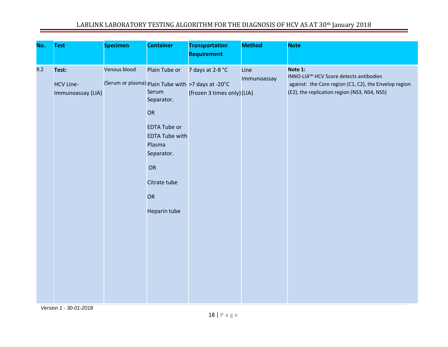# LABLINK LABORATORY TESTING ALGORITHM FOR THE DIAGNOSIS OF HCV AS AT 30<sup>th</sup> January 2018

| No. | <b>Test</b>                                    | <b>Specimen</b> | <b>Container</b>                                                                                                                                               | <b>Transportation</b><br><b>Requirement</b>                                                           | <b>Method</b>       | <b>Note</b>                                                                                                                                                |
|-----|------------------------------------------------|-----------------|----------------------------------------------------------------------------------------------------------------------------------------------------------------|-------------------------------------------------------------------------------------------------------|---------------------|------------------------------------------------------------------------------------------------------------------------------------------------------------|
| 9.2 | Test:<br><b>HCV Line-</b><br>Immunoassay (LIA) | Venous blood    | Plain Tube or<br>Serum<br>Separator.<br>OR<br><b>EDTA Tube or</b><br><b>EDTA Tube with</b><br>Plasma<br>Separator.<br>OR<br>Citrate tube<br>OR<br>Heparin tube | 7 days at 2-8 °C<br>(Serum or plasma) Plain Tube with >7 days at -20°C<br>(frozen 3 times only) (LIA) | Line<br>Immunoassay | Note 1:<br>INNO-LIA™ HCV Score detects antibodies<br>against: the Core region (C1, C2), the Envelop region<br>(E2), the replication region (NS3, NS4, NS5) |

*Version 1 - 30-01-2018*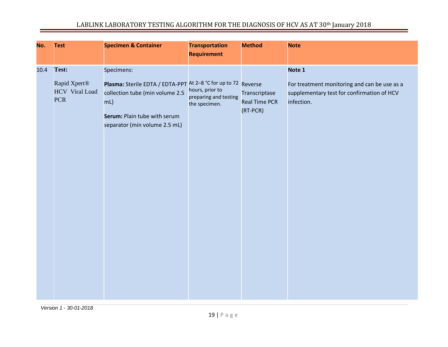# LABLINK LABORATORY TESTING ALGORITHM FOR THE DIAGNOSIS OF HCV AS AT 30th January 2018

| No.  | <b>Test</b>                                                  | <b>Specimen &amp; Container</b>                                                                                                                                                            | <b>Transportation</b><br><b>Requirement</b>               | <b>Method</b>                                     | <b>Note</b>                                                                                                        |
|------|--------------------------------------------------------------|--------------------------------------------------------------------------------------------------------------------------------------------------------------------------------------------|-----------------------------------------------------------|---------------------------------------------------|--------------------------------------------------------------------------------------------------------------------|
| 10.4 | Test:<br>Rapid Xpert®<br><b>HCV</b> Viral Load<br><b>PCR</b> | Specimens:<br>Plasma: Sterile EDTA / EDTA-PPT At 2-8 °C for up to 72 Reverse<br>collection tube (min volume 2.5<br>$mL$ )<br>Serum: Plain tube with serum<br>separator (min volume 2.5 mL) | hours, prior to<br>preparing and testing<br>the specimen. | Transcriptase<br><b>Real Time PCR</b><br>(RT-PCR) | Note 1<br>For treatment monitoring and can be use as a<br>supplementary test for confirmation of HCV<br>infection. |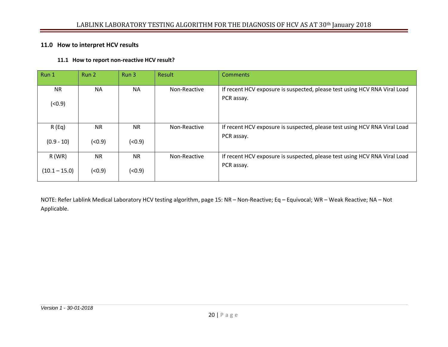#### **11.0 How to interpret HCV results**

#### **11.1 How to report non-reactive HCV result?**

| Run 1              | Run 2     | Run 3     | Result       | <b>Comments</b>                                                                         |
|--------------------|-----------|-----------|--------------|-----------------------------------------------------------------------------------------|
| <b>NR</b><br>(0.9) | <b>NA</b> | <b>NA</b> | Non-Reactive | If recent HCV exposure is suspected, please test using HCV RNA Viral Load<br>PCR assay. |
| R(Eq)              | <b>NR</b> | <b>NR</b> | Non-Reactive | If recent HCV exposure is suspected, please test using HCV RNA Viral Load               |
| $(0.9 - 10)$       | (0.9)     | (< 0.9)   |              | PCR assay.                                                                              |
| $R$ (WR)           | <b>NR</b> | <b>NR</b> | Non-Reactive | If recent HCV exposure is suspected, please test using HCV RNA Viral Load               |
| $(10.1 - 15.0)$    | (0.9)     | (< 0.9)   |              | PCR assay.                                                                              |

NOTE: Refer Lablink Medical Laboratory HCV testing algorithm, page 15: NR – Non-Reactive; Eq – Equivocal; WR – Weak Reactive; NA – Not Applicable.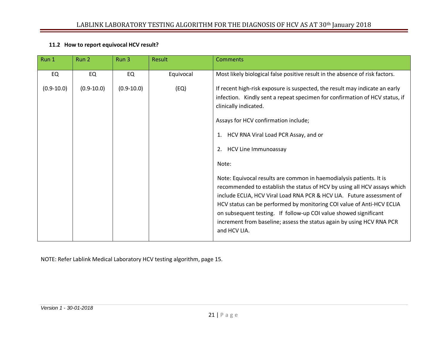#### **11.2 How to report equivocal HCV result?**

| Most likely biological false positive result in the absence of risk factors.<br>EQ<br>EQ<br>EQ<br>Equivocal                                                                                                                                                                                                                                                                                                                                                                                                                                                                                                                                                                                                                                                                                                                                   |  |
|-----------------------------------------------------------------------------------------------------------------------------------------------------------------------------------------------------------------------------------------------------------------------------------------------------------------------------------------------------------------------------------------------------------------------------------------------------------------------------------------------------------------------------------------------------------------------------------------------------------------------------------------------------------------------------------------------------------------------------------------------------------------------------------------------------------------------------------------------|--|
| $(0.9 - 10.0)$<br>$(0.9 - 10.0)$<br>(EQ)<br>If recent high-risk exposure is suspected, the result may indicate an early<br>$(0.9 - 10.0)$<br>infection. Kindly sent a repeat specimen for confirmation of HCV status, if<br>clinically indicated.<br>Assays for HCV confirmation include;<br>1. HCV RNA Viral Load PCR Assay, and or<br>HCV Line Immunoassay<br>2.<br>Note:<br>Note: Equivocal results are common in haemodialysis patients. It is<br>recommended to establish the status of HCV by using all HCV assays which<br>include ECLIA, HCV Viral Load RNA PCR & HCV LIA. Future assessment of<br>HCV status can be performed by monitoring COI value of Anti-HCV ECLIA<br>on subsequent testing. If follow-up COI value showed significant<br>increment from baseline; assess the status again by using HCV RNA PCR<br>and HCV LIA. |  |

NOTE: Refer Lablink Medical Laboratory HCV testing algorithm, page 15.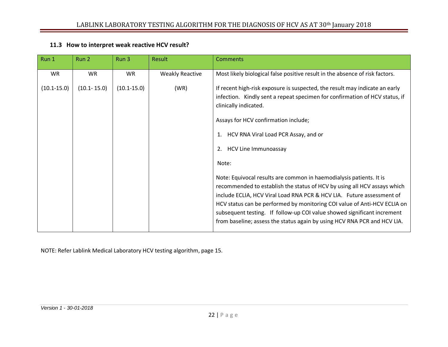#### **11.3 How to interpret weak reactive HCV result?**

| Run 1           | Run 2           | Run 3           | Result                 | <b>Comments</b>                                                                                                                                                                                                                                                                                                                                                                                                                                                                                                                                                                                                                                                                                                                                                                 |
|-----------------|-----------------|-----------------|------------------------|---------------------------------------------------------------------------------------------------------------------------------------------------------------------------------------------------------------------------------------------------------------------------------------------------------------------------------------------------------------------------------------------------------------------------------------------------------------------------------------------------------------------------------------------------------------------------------------------------------------------------------------------------------------------------------------------------------------------------------------------------------------------------------|
| <b>WR</b>       | <b>WR</b>       | <b>WR</b>       | <b>Weakly Reactive</b> | Most likely biological false positive result in the absence of risk factors.                                                                                                                                                                                                                                                                                                                                                                                                                                                                                                                                                                                                                                                                                                    |
| $(10.1 - 15.0)$ | $(10.1 - 15.0)$ | $(10.1 - 15.0)$ | (WR)                   | If recent high-risk exposure is suspected, the result may indicate an early<br>infection. Kindly sent a repeat specimen for confirmation of HCV status, if<br>clinically indicated.<br>Assays for HCV confirmation include;<br>HCV RNA Viral Load PCR Assay, and or<br>1.<br>HCV Line Immunoassay<br>2.<br>Note:<br>Note: Equivocal results are common in haemodialysis patients. It is<br>recommended to establish the status of HCV by using all HCV assays which<br>include ECLIA, HCV Viral Load RNA PCR & HCV LIA. Future assessment of<br>HCV status can be performed by monitoring COI value of Anti-HCV ECLIA on<br>subsequent testing. If follow-up COI value showed significant increment<br>from baseline; assess the status again by using HCV RNA PCR and HCV LIA. |
|                 |                 |                 |                        |                                                                                                                                                                                                                                                                                                                                                                                                                                                                                                                                                                                                                                                                                                                                                                                 |

NOTE: Refer Lablink Medical Laboratory HCV testing algorithm, page 15.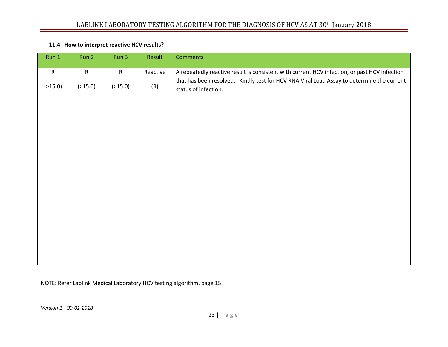|  | 11.4 How to interpret reactive HCV results? |
|--|---------------------------------------------|
|--|---------------------------------------------|

| Run 1     | Run 2     | Run 3        | Result   | <b>Comments</b>                                                                                                   |
|-----------|-----------|--------------|----------|-------------------------------------------------------------------------------------------------------------------|
| ${\sf R}$ | ${\sf R}$ | $\mathsf{R}$ | Reactive | A repeatedly reactive result is consistent with current HCV infection, or past HCV infection                      |
| ( >15.0)  | ( >15.0)  | ( >15.0)     | (R)      | that has been resolved. Kindly test for HCV RNA Viral Load Assay to determine the current<br>status of infection. |
|           |           |              |          |                                                                                                                   |
|           |           |              |          |                                                                                                                   |
|           |           |              |          |                                                                                                                   |

NOTE: Refer Lablink Medical Laboratory HCV testing algorithm, page 15.